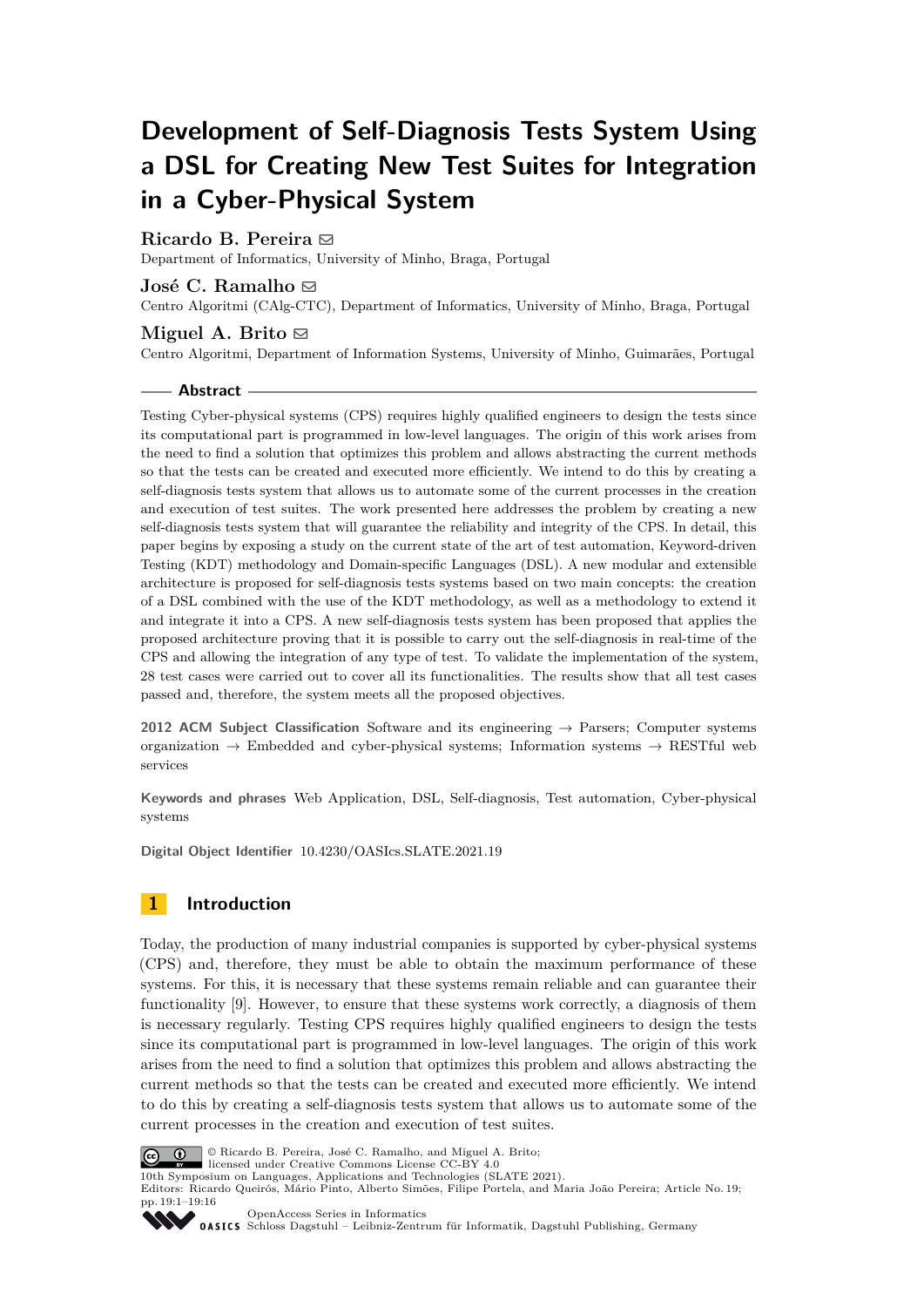# **Development of Self-Diagnosis Tests System Using a DSL for Creating New Test Suites for Integration in a Cyber-Physical System**

# **Ricardo B. Pereira** [#](mailto:ricardo-97-pereira@hotmail.com)

Department of Informatics, University of Minho, Braga, Portugal

# **José C. Ramalho** ⊠

Centro Algoritmi (CAlg-CTC), Department of Informatics, University of Minho, Braga, Portugal

# **Miguel A. Brito**  $\boxtimes$

Centro Algoritmi, Department of Information Systems, University of Minho, Guimarães, Portugal

#### **Abstract**

Testing Cyber-physical systems (CPS) requires highly qualified engineers to design the tests since its computational part is programmed in low-level languages. The origin of this work arises from the need to find a solution that optimizes this problem and allows abstracting the current methods so that the tests can be created and executed more efficiently. We intend to do this by creating a self-diagnosis tests system that allows us to automate some of the current processes in the creation and execution of test suites. The work presented here addresses the problem by creating a new self-diagnosis tests system that will guarantee the reliability and integrity of the CPS. In detail, this paper begins by exposing a study on the current state of the art of test automation, Keyword-driven Testing (KDT) methodology and Domain-specific Languages (DSL). A new modular and extensible architecture is proposed for self-diagnosis tests systems based on two main concepts: the creation of a DSL combined with the use of the KDT methodology, as well as a methodology to extend it and integrate it into a CPS. A new self-diagnosis tests system has been proposed that applies the proposed architecture proving that it is possible to carry out the self-diagnosis in real-time of the CPS and allowing the integration of any type of test. To validate the implementation of the system, 28 test cases were carried out to cover all its functionalities. The results show that all test cases passed and, therefore, the system meets all the proposed objectives.

**2012 ACM Subject Classification** Software and its engineering → Parsers; Computer systems organization  $\rightarrow$  Embedded and cyber-physical systems; Information systems  $\rightarrow$  RESTful web services

**Keywords and phrases** Web Application, DSL, Self-diagnosis, Test automation, Cyber-physical systems

**Digital Object Identifier** [10.4230/OASIcs.SLATE.2021.19](https://doi.org/10.4230/OASIcs.SLATE.2021.19)

# **1 Introduction**

Today, the production of many industrial companies is supported by cyber-physical systems (CPS) and, therefore, they must be able to obtain the maximum performance of these systems. For this, it is necessary that these systems remain reliable and can guarantee their functionality [\[9\]](#page-15-0). However, to ensure that these systems work correctly, a diagnosis of them is necessary regularly. Testing CPS requires highly qualified engineers to design the tests since its computational part is programmed in low-level languages. The origin of this work arises from the need to find a solution that optimizes this problem and allows abstracting the current methods so that the tests can be created and executed more efficiently. We intend to do this by creating a self-diagnosis tests system that allows us to automate some of the current processes in the creation and execution of test suites.



© Ricardo B. Pereira, José C. Ramalho, and Miguel A. Brito;

licensed under Creative Commons License CC-BY 4.0 10th Symposium on Languages, Applications and Technologies (SLATE 2021).

Editors: Ricardo Queirós, Mário Pinto, Alberto Simões, Filipe Portela, and Maria João Pereira; Article No. 19; pp. 19:1–19:16



[OpenAccess Series in Informatics](https://www.dagstuhl.de/oasics/) OASICS [Schloss Dagstuhl – Leibniz-Zentrum für Informatik, Dagstuhl Publishing, Germany](https://www.dagstuhl.de)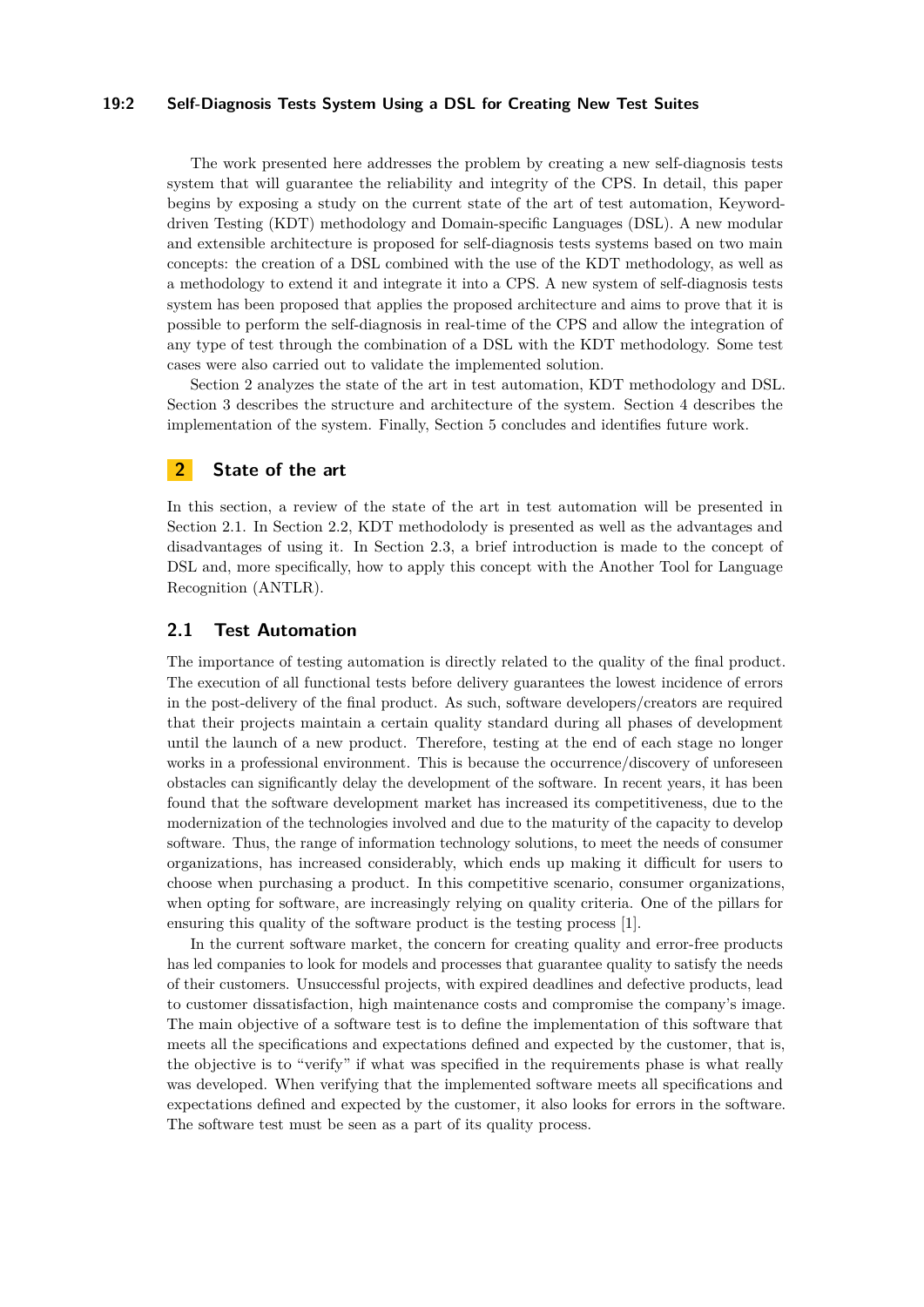#### **19:2 Self-Diagnosis Tests System Using a DSL for Creating New Test Suites**

The work presented here addresses the problem by creating a new self-diagnosis tests system that will guarantee the reliability and integrity of the CPS. In detail, this paper begins by exposing a study on the current state of the art of test automation, Keyworddriven Testing (KDT) methodology and Domain-specific Languages (DSL). A new modular and extensible architecture is proposed for self-diagnosis tests systems based on two main concepts: the creation of a DSL combined with the use of the KDT methodology, as well as a methodology to extend it and integrate it into a CPS. A new system of self-diagnosis tests system has been proposed that applies the proposed architecture and aims to prove that it is possible to perform the self-diagnosis in real-time of the CPS and allow the integration of any type of test through the combination of a DSL with the KDT methodology. Some test cases were also carried out to validate the implemented solution.

Section [2](#page-1-0) analyzes the state of the art in test automation, KDT methodology and DSL. Section [3](#page-5-0) describes the structure and architecture of the system. Section [4](#page-8-0) describes the implementation of the system. Finally, Section [5](#page-14-0) concludes and identifies future work.

# <span id="page-1-0"></span>**2 State of the art**

In this section, a review of the state of the art in test automation will be presented in Section [2.1.](#page-1-1) In Section [2.2,](#page-2-0) KDT methodolody is presented as well as the advantages and disadvantages of using it. In Section [2.3,](#page-2-1) a brief introduction is made to the concept of DSL and, more specifically, how to apply this concept with the Another Tool for Language Recognition (ANTLR).

#### <span id="page-1-1"></span>**2.1 Test Automation**

The importance of testing automation is directly related to the quality of the final product. The execution of all functional tests before delivery guarantees the lowest incidence of errors in the post-delivery of the final product. As such, software developers/creators are required that their projects maintain a certain quality standard during all phases of development until the launch of a new product. Therefore, testing at the end of each stage no longer works in a professional environment. This is because the occurrence/discovery of unforeseen obstacles can significantly delay the development of the software. In recent years, it has been found that the software development market has increased its competitiveness, due to the modernization of the technologies involved and due to the maturity of the capacity to develop software. Thus, the range of information technology solutions, to meet the needs of consumer organizations, has increased considerably, which ends up making it difficult for users to choose when purchasing a product. In this competitive scenario, consumer organizations, when opting for software, are increasingly relying on quality criteria. One of the pillars for ensuring this quality of the software product is the testing process [\[1\]](#page-15-1).

In the current software market, the concern for creating quality and error-free products has led companies to look for models and processes that guarantee quality to satisfy the needs of their customers. Unsuccessful projects, with expired deadlines and defective products, lead to customer dissatisfaction, high maintenance costs and compromise the company's image. The main objective of a software test is to define the implementation of this software that meets all the specifications and expectations defined and expected by the customer, that is, the objective is to "verify" if what was specified in the requirements phase is what really was developed. When verifying that the implemented software meets all specifications and expectations defined and expected by the customer, it also looks for errors in the software. The software test must be seen as a part of its quality process.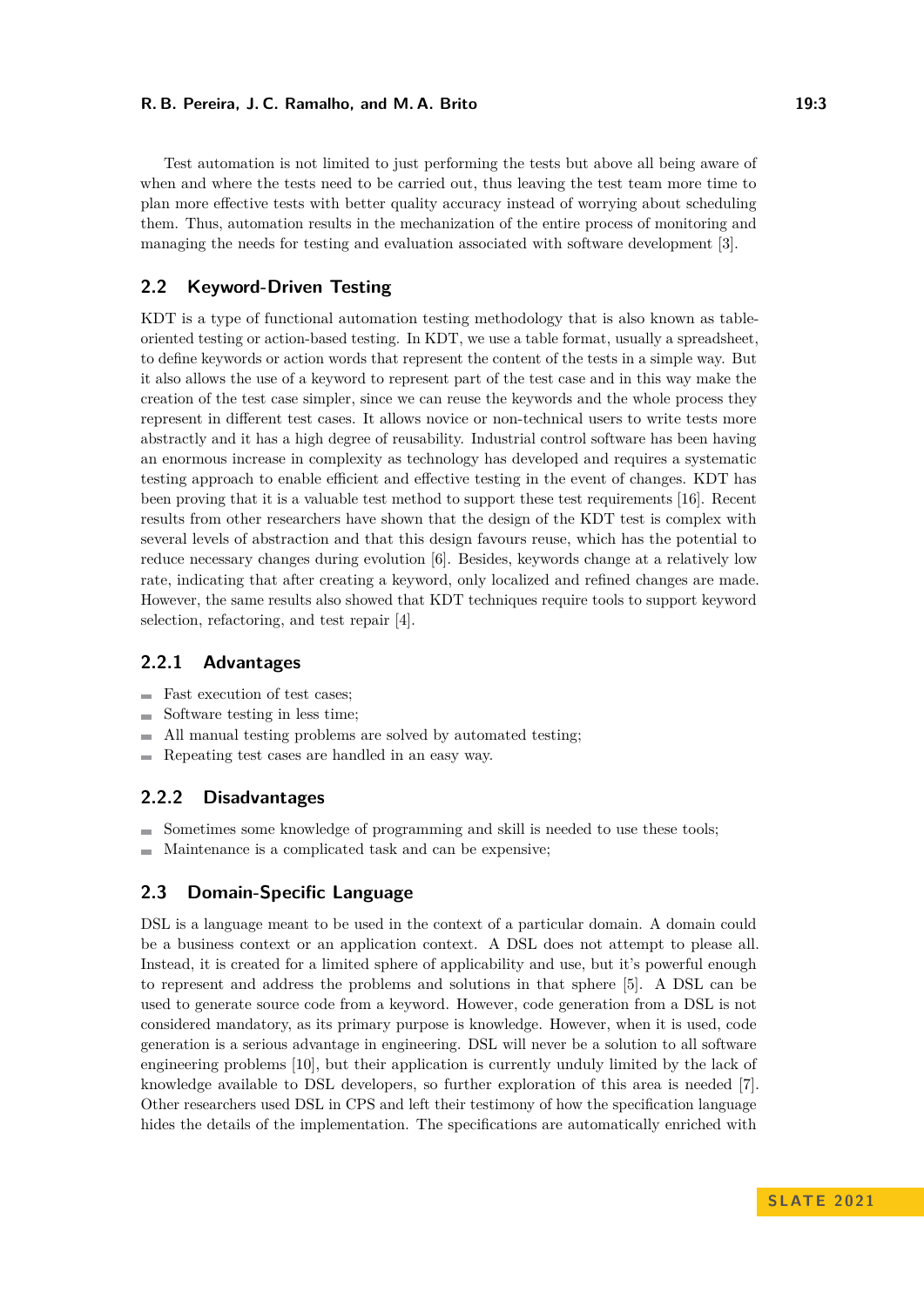#### **R. B. Pereira, J. C. Ramalho, and M. A. Brito 19:3** 19:3

Test automation is not limited to just performing the tests but above all being aware of when and where the tests need to be carried out, thus leaving the test team more time to plan more effective tests with better quality accuracy instead of worrying about scheduling them. Thus, automation results in the mechanization of the entire process of monitoring and managing the needs for testing and evaluation associated with software development [\[3\]](#page-15-2).

### <span id="page-2-0"></span>**2.2 Keyword-Driven Testing**

KDT is a type of functional automation testing methodology that is also known as tableoriented testing or action-based testing. In KDT, we use a table format, usually a spreadsheet, to define keywords or action words that represent the content of the tests in a simple way. But it also allows the use of a keyword to represent part of the test case and in this way make the creation of the test case simpler, since we can reuse the keywords and the whole process they represent in different test cases. It allows novice or non-technical users to write tests more abstractly and it has a high degree of reusability. Industrial control software has been having an enormous increase in complexity as technology has developed and requires a systematic testing approach to enable efficient and effective testing in the event of changes. KDT has been proving that it is a valuable test method to support these test requirements [\[16\]](#page-15-3). Recent results from other researchers have shown that the design of the KDT test is complex with several levels of abstraction and that this design favours reuse, which has the potential to reduce necessary changes during evolution [\[6\]](#page-15-4). Besides, keywords change at a relatively low rate, indicating that after creating a keyword, only localized and refined changes are made. However, the same results also showed that KDT techniques require tools to support keyword selection, refactoring, and test repair [\[4\]](#page-15-5).

### **2.2.1 Advantages**

- **Fast execution of test cases**;
- Software testing in less time;  $\sim$
- ÷ All manual testing problems are solved by automated testing;
- Repeating test cases are handled in an easy way.  $\rightarrow$

### **2.2.2 Disadvantages**

- Sometimes some knowledge of programming and skill is needed to use these tools;
- Maintenance is a complicated task and can be expensive;  $\blacksquare$

### <span id="page-2-1"></span>**2.3 Domain-Specific Language**

DSL is a language meant to be used in the context of a particular domain. A domain could be a business context or an application context. A DSL does not attempt to please all. Instead, it is created for a limited sphere of applicability and use, but it's powerful enough to represent and address the problems and solutions in that sphere [\[5\]](#page-15-6). A DSL can be used to generate source code from a keyword. However, code generation from a DSL is not considered mandatory, as its primary purpose is knowledge. However, when it is used, code generation is a serious advantage in engineering. DSL will never be a solution to all software engineering problems [\[10\]](#page-15-7), but their application is currently unduly limited by the lack of knowledge available to DSL developers, so further exploration of this area is needed [\[7\]](#page-15-8). Other researchers used DSL in CPS and left their testimony of how the specification language hides the details of the implementation. The specifications are automatically enriched with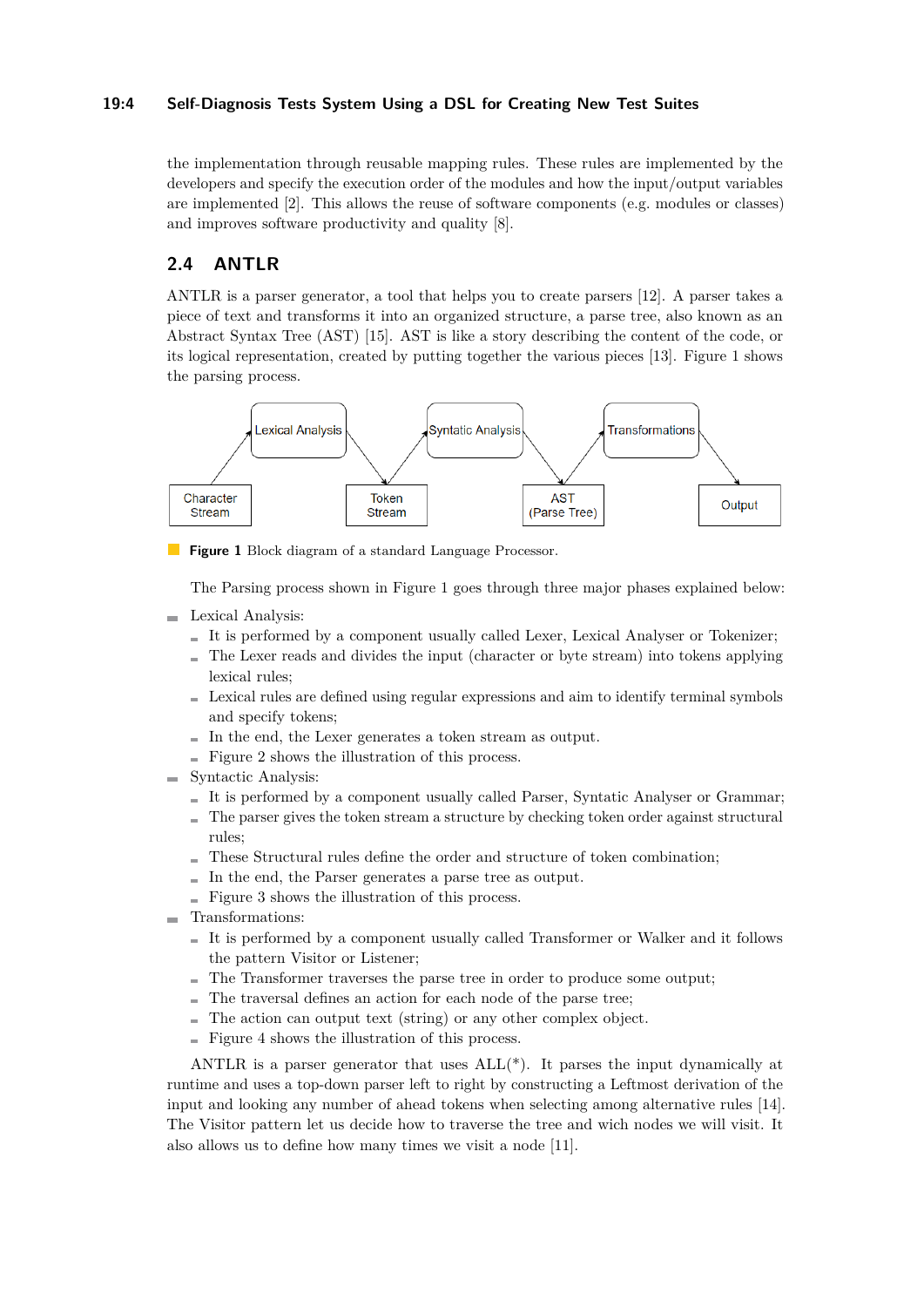### **19:4 Self-Diagnosis Tests System Using a DSL for Creating New Test Suites**

the implementation through reusable mapping rules. These rules are implemented by the developers and specify the execution order of the modules and how the input/output variables are implemented [\[2\]](#page-15-9). This allows the reuse of software components (e.g. modules or classes) and improves software productivity and quality [\[8\]](#page-15-10).

# **2.4 ANTLR**

ANTLR is a parser generator, a tool that helps you to create parsers [\[12\]](#page-15-11). A parser takes a piece of text and transforms it into an organized structure, a parse tree, also known as an Abstract Syntax Tree (AST) [\[15\]](#page-15-12). AST is like a story describing the content of the code, or its logical representation, created by putting together the various pieces [\[13\]](#page-15-13). Figure [1](#page-3-0) shows the parsing process.

<span id="page-3-0"></span>

**Figure 1** Block diagram of a standard Language Processor.

The Parsing process shown in Figure 1 goes through three major phases explained below:

- **Lexical Analysis:** 
	- $I$  It is performed by a component usually called Lexer, Lexical Analyser or Tokenizer;
	- $\blacksquare$  The Lexer reads and divides the input (character or byte stream) into tokens applying lexical rules;
	- Lexical rules are defined using regular expressions and aim to identify terminal symbols and specify tokens;
	- $\blacksquare$  In the end, the Lexer generates a token stream as output.
	- $\blacksquare$  Figure [2](#page-4-0) shows the illustration of this process.
- $\blacksquare$  Syntactic Analysis:
	- It is performed by a component usually called Parser, Syntatic Analyser or Grammar;
	- $\blacksquare$  The parser gives the token stream a structure by checking token order against structural rules;
	- These Structural rules define the order and structure of token combination;
	- $\blacksquare$  In the end, the Parser generates a parse tree as output.
	- $\blacksquare$  Figure [3](#page-4-1) shows the illustration of this process.
- Transformations:
	- It is performed by a component usually called Transformer or Walker and it follows the pattern Visitor or Listener;
	- The Transformer traverses the parse tree in order to produce some output;
	- The traversal defines an action for each node of the parse tree; a.
	- The action can output text (string) or any other complex object.
	- $\blacksquare$  Figure [4](#page-4-2) shows the illustration of this process.

ANTLR is a parser generator that uses ALL(\*). It parses the input dynamically at runtime and uses a top-down parser left to right by constructing a Leftmost derivation of the input and looking any number of ahead tokens when selecting among alternative rules [\[14\]](#page-15-14). The Visitor pattern let us decide how to traverse the tree and wich nodes we will visit. It also allows us to define how many times we visit a node [\[11\]](#page-15-15).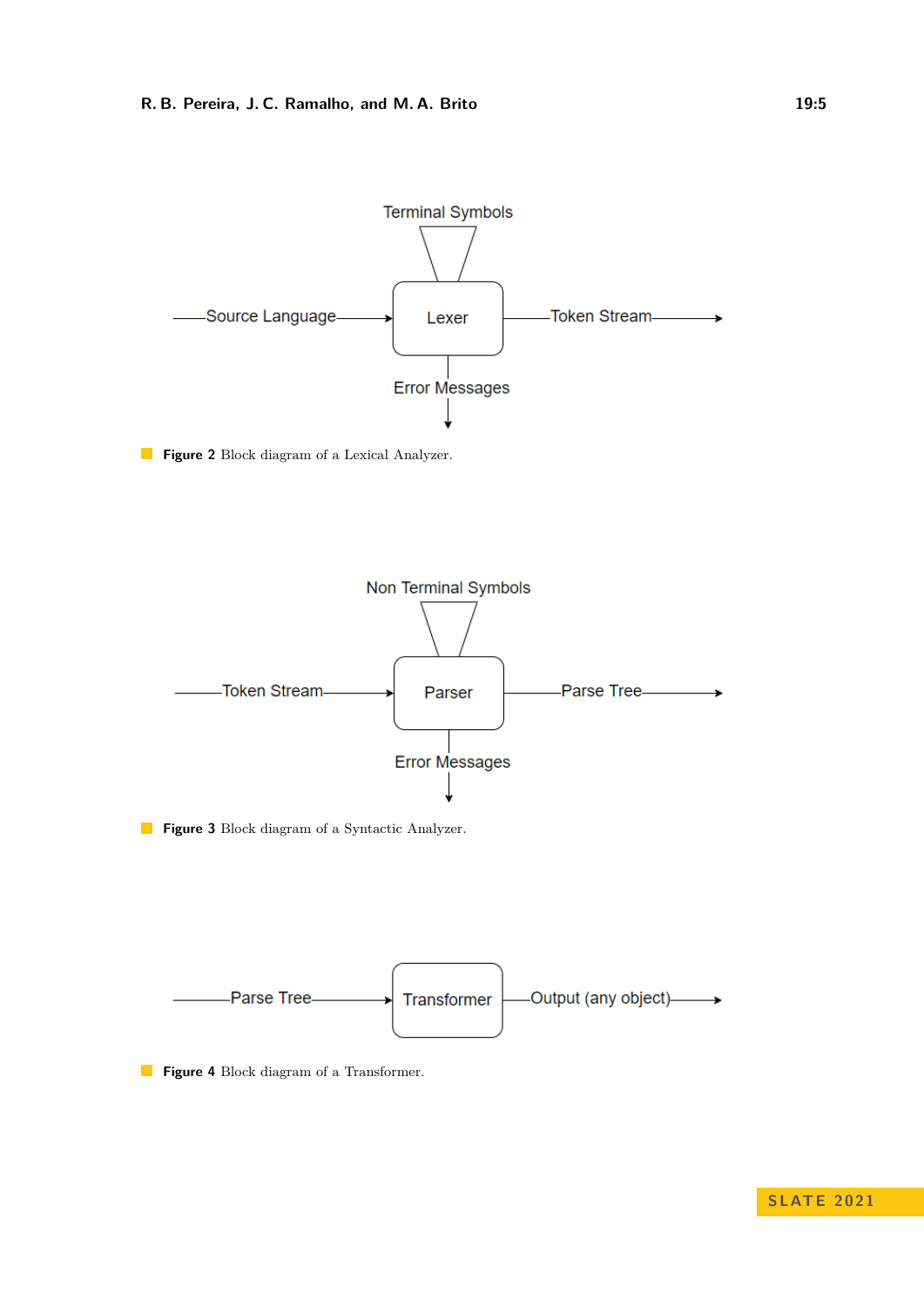<span id="page-4-0"></span>

**Figure 2** Block diagram of a Lexical Analyzer.

<span id="page-4-1"></span>

**Figure 3** Block diagram of a Syntactic Analyzer.

<span id="page-4-2"></span>

**Figure 4** Block diagram of a Transformer.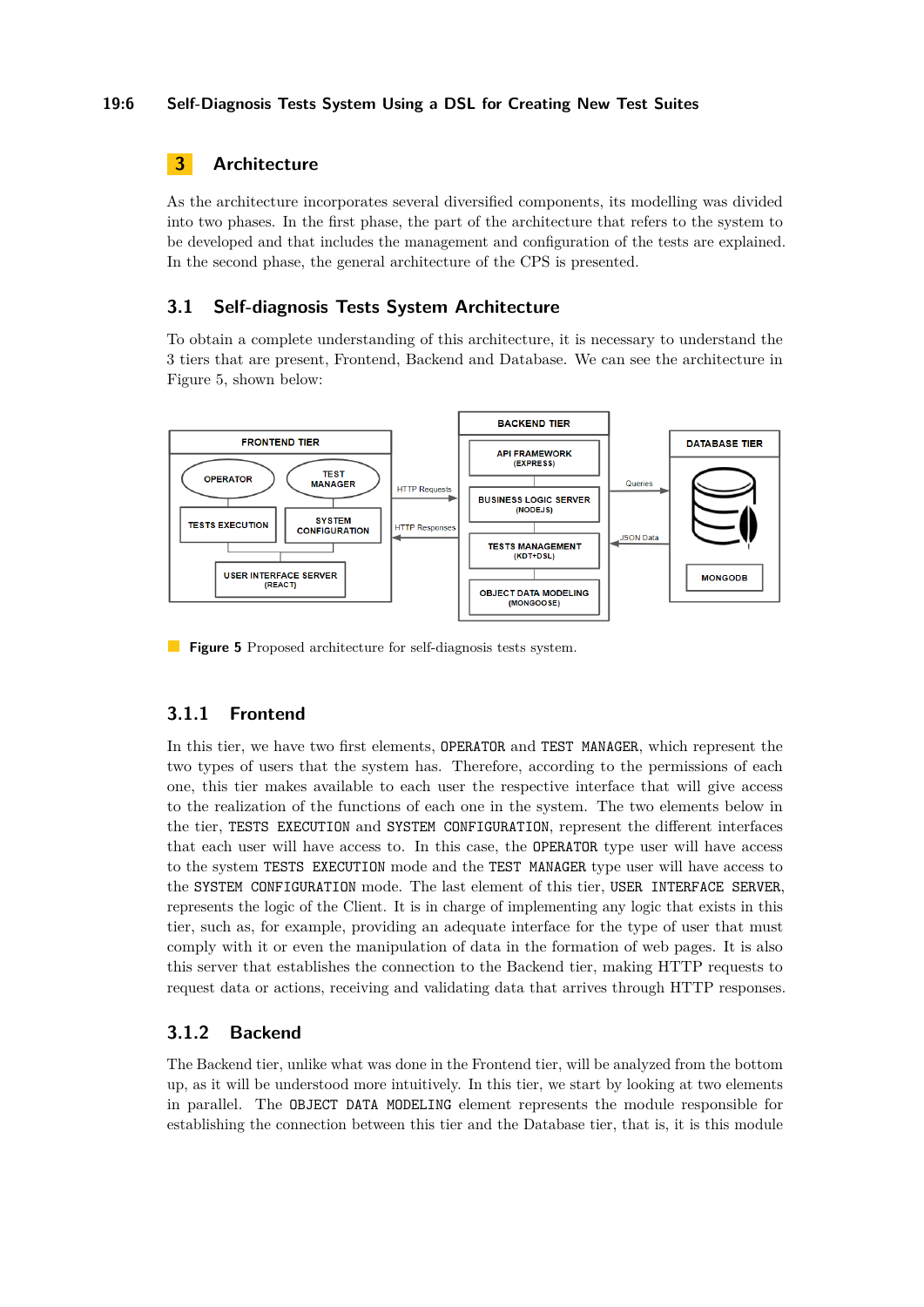### **19:6 Self-Diagnosis Tests System Using a DSL for Creating New Test Suites**

# <span id="page-5-0"></span>**3 Architecture**

As the architecture incorporates several diversified components, its modelling was divided into two phases. In the first phase, the part of the architecture that refers to the system to be developed and that includes the management and configuration of the tests are explained. In the second phase, the general architecture of the CPS is presented.

# **3.1 Self-diagnosis Tests System Architecture**

To obtain a complete understanding of this architecture, it is necessary to understand the 3 tiers that are present, Frontend, Backend and Database. We can see the architecture in Figure [5,](#page-5-1) shown below:

<span id="page-5-1"></span>

**Figure 5** Proposed architecture for self-diagnosis tests system.

# **3.1.1 Frontend**

In this tier, we have two first elements, OPERATOR and TEST MANAGER, which represent the two types of users that the system has. Therefore, according to the permissions of each one, this tier makes available to each user the respective interface that will give access to the realization of the functions of each one in the system. The two elements below in the tier, TESTS EXECUTION and SYSTEM CONFIGURATION, represent the different interfaces that each user will have access to. In this case, the OPERATOR type user will have access to the system TESTS EXECUTION mode and the TEST MANAGER type user will have access to the SYSTEM CONFIGURATION mode. The last element of this tier, USER INTERFACE SERVER, represents the logic of the Client. It is in charge of implementing any logic that exists in this tier, such as, for example, providing an adequate interface for the type of user that must comply with it or even the manipulation of data in the formation of web pages. It is also this server that establishes the connection to the Backend tier, making HTTP requests to request data or actions, receiving and validating data that arrives through HTTP responses.

# **3.1.2 Backend**

The Backend tier, unlike what was done in the Frontend tier, will be analyzed from the bottom up, as it will be understood more intuitively. In this tier, we start by looking at two elements in parallel. The OBJECT DATA MODELING element represents the module responsible for establishing the connection between this tier and the Database tier, that is, it is this module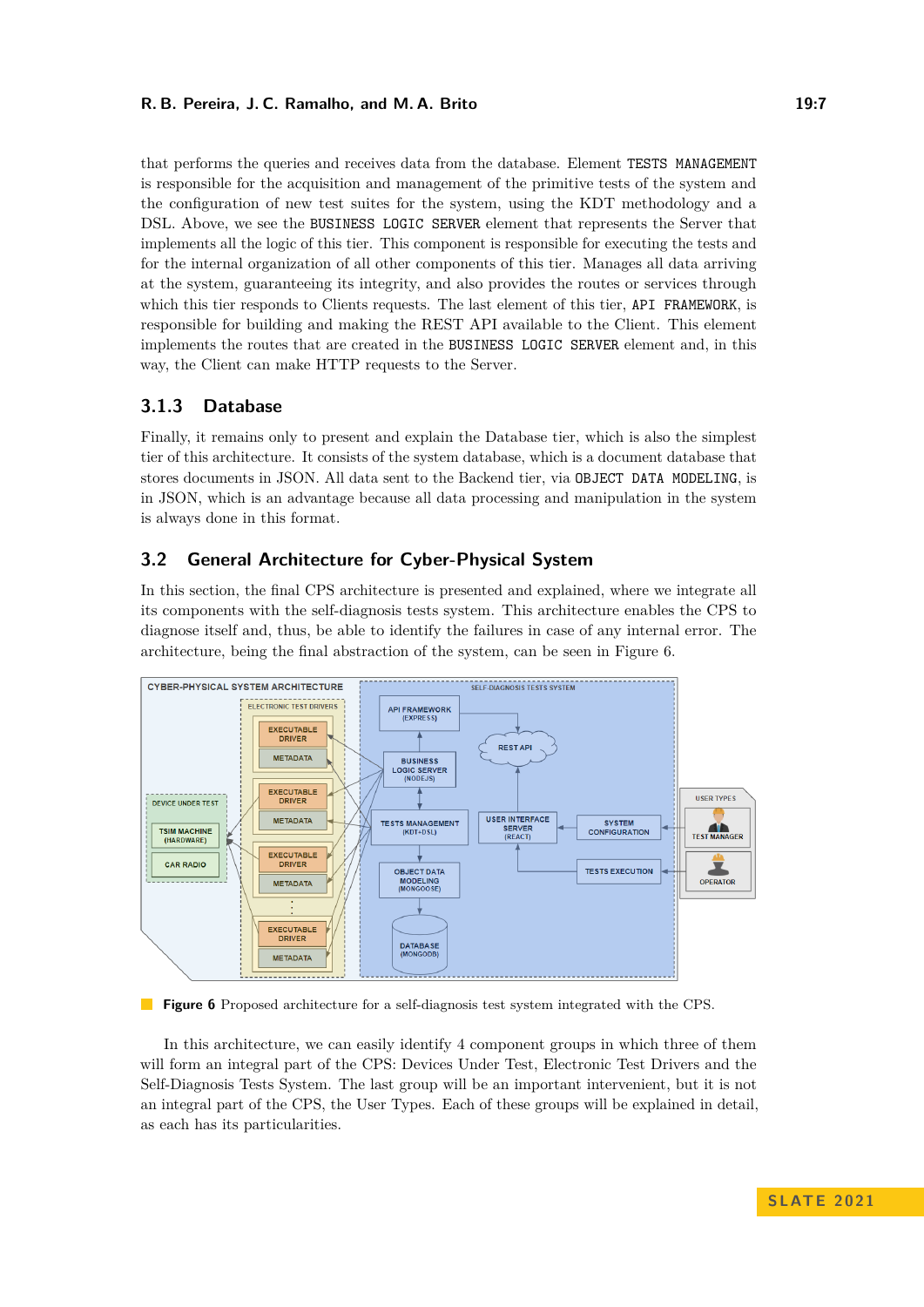#### **R. B. Pereira, J. C. Ramalho, and M. A. Brito 19:7** 19:7

that performs the queries and receives data from the database. Element TESTS MANAGEMENT is responsible for the acquisition and management of the primitive tests of the system and the configuration of new test suites for the system, using the KDT methodology and a DSL. Above, we see the BUSINESS LOGIC SERVER element that represents the Server that implements all the logic of this tier. This component is responsible for executing the tests and for the internal organization of all other components of this tier. Manages all data arriving at the system, guaranteeing its integrity, and also provides the routes or services through which this tier responds to Clients requests. The last element of this tier, API FRAMEWORK, is responsible for building and making the REST API available to the Client. This element implements the routes that are created in the BUSINESS LOGIC SERVER element and, in this way, the Client can make HTTP requests to the Server.

# **3.1.3 Database**

Finally, it remains only to present and explain the Database tier, which is also the simplest tier of this architecture. It consists of the system database, which is a document database that stores documents in JSON. All data sent to the Backend tier, via OBJECT DATA MODELING, is in JSON, which is an advantage because all data processing and manipulation in the system is always done in this format.

# **3.2 General Architecture for Cyber-Physical System**

In this section, the final CPS architecture is presented and explained, where we integrate all its components with the self-diagnosis tests system. This architecture enables the CPS to diagnose itself and, thus, be able to identify the failures in case of any internal error. The architecture, being the final abstraction of the system, can be seen in Figure [6.](#page-6-0)

<span id="page-6-0"></span>

**Figure 6** Proposed architecture for a self-diagnosis test system integrated with the CPS.

In this architecture, we can easily identify 4 component groups in which three of them will form an integral part of the CPS: Devices Under Test, Electronic Test Drivers and the Self-Diagnosis Tests System. The last group will be an important intervenient, but it is not an integral part of the CPS, the User Types. Each of these groups will be explained in detail, as each has its particularities.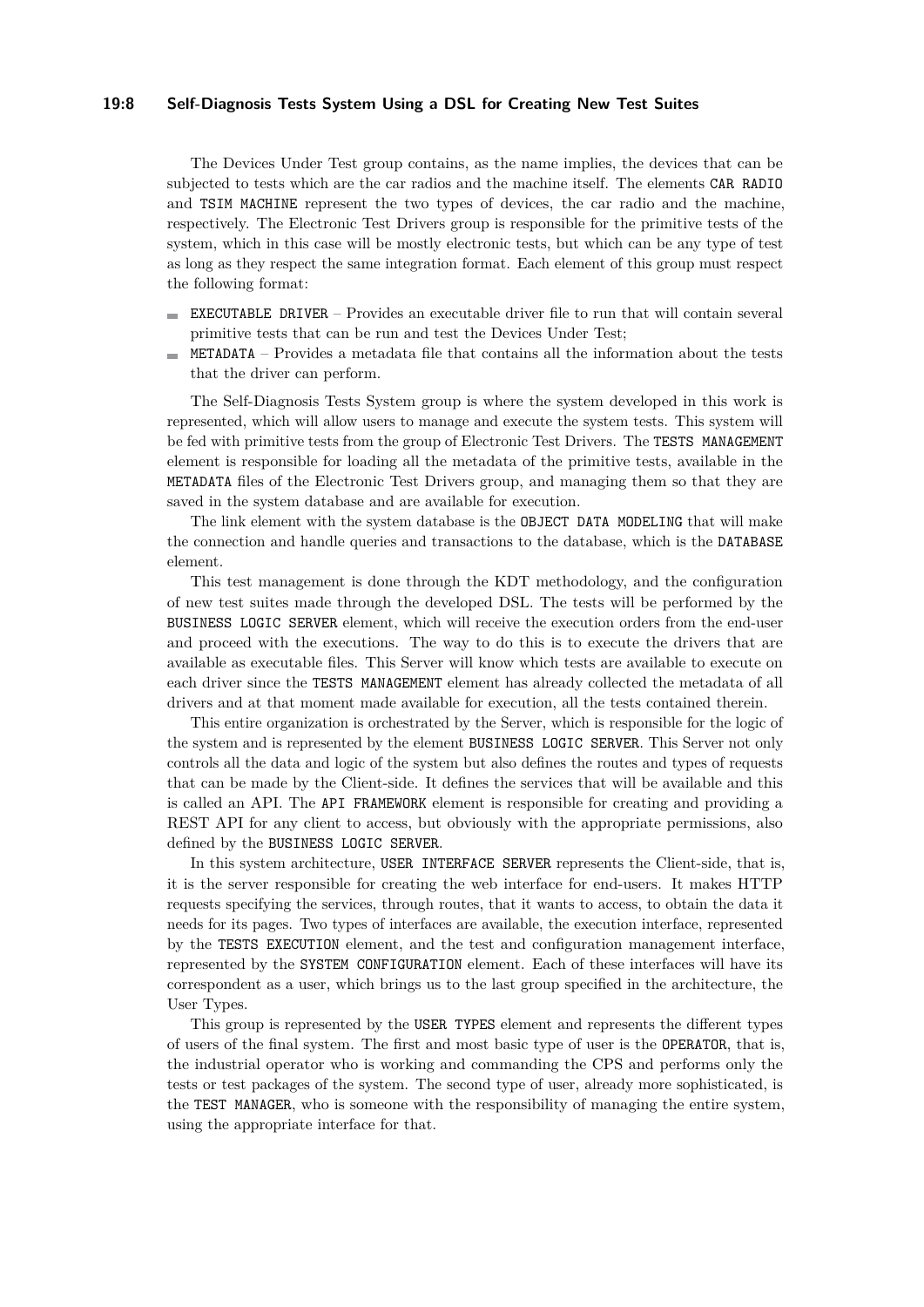#### **19:8 Self-Diagnosis Tests System Using a DSL for Creating New Test Suites**

The Devices Under Test group contains, as the name implies, the devices that can be subjected to tests which are the car radios and the machine itself. The elements CAR RADIO and TSIM MACHINE represent the two types of devices, the car radio and the machine, respectively. The Electronic Test Drivers group is responsible for the primitive tests of the system, which in this case will be mostly electronic tests, but which can be any type of test as long as they respect the same integration format. Each element of this group must respect the following format:

- EXECUTABLE DRIVER Provides an executable driver file to run that will contain several m. primitive tests that can be run and test the Devices Under Test;
- METADATA Provides a metadata file that contains all the information about the tests  $\sim$ that the driver can perform.

The Self-Diagnosis Tests System group is where the system developed in this work is represented, which will allow users to manage and execute the system tests. This system will be fed with primitive tests from the group of Electronic Test Drivers. The TESTS MANAGEMENT element is responsible for loading all the metadata of the primitive tests, available in the METADATA files of the Electronic Test Drivers group, and managing them so that they are saved in the system database and are available for execution.

The link element with the system database is the OBJECT DATA MODELING that will make the connection and handle queries and transactions to the database, which is the DATABASE element.

This test management is done through the KDT methodology, and the configuration of new test suites made through the developed DSL. The tests will be performed by the BUSINESS LOGIC SERVER element, which will receive the execution orders from the end-user and proceed with the executions. The way to do this is to execute the drivers that are available as executable files. This Server will know which tests are available to execute on each driver since the TESTS MANAGEMENT element has already collected the metadata of all drivers and at that moment made available for execution, all the tests contained therein.

This entire organization is orchestrated by the Server, which is responsible for the logic of the system and is represented by the element BUSINESS LOGIC SERVER. This Server not only controls all the data and logic of the system but also defines the routes and types of requests that can be made by the Client-side. It defines the services that will be available and this is called an API. The API FRAMEWORK element is responsible for creating and providing a REST API for any client to access, but obviously with the appropriate permissions, also defined by the BUSINESS LOGIC SERVER.

In this system architecture, USER INTERFACE SERVER represents the Client-side, that is, it is the server responsible for creating the web interface for end-users. It makes HTTP requests specifying the services, through routes, that it wants to access, to obtain the data it needs for its pages. Two types of interfaces are available, the execution interface, represented by the TESTS EXECUTION element, and the test and configuration management interface, represented by the SYSTEM CONFIGURATION element. Each of these interfaces will have its correspondent as a user, which brings us to the last group specified in the architecture, the User Types.

This group is represented by the USER TYPES element and represents the different types of users of the final system. The first and most basic type of user is the OPERATOR, that is, the industrial operator who is working and commanding the CPS and performs only the tests or test packages of the system. The second type of user, already more sophisticated, is the TEST MANAGER, who is someone with the responsibility of managing the entire system, using the appropriate interface for that.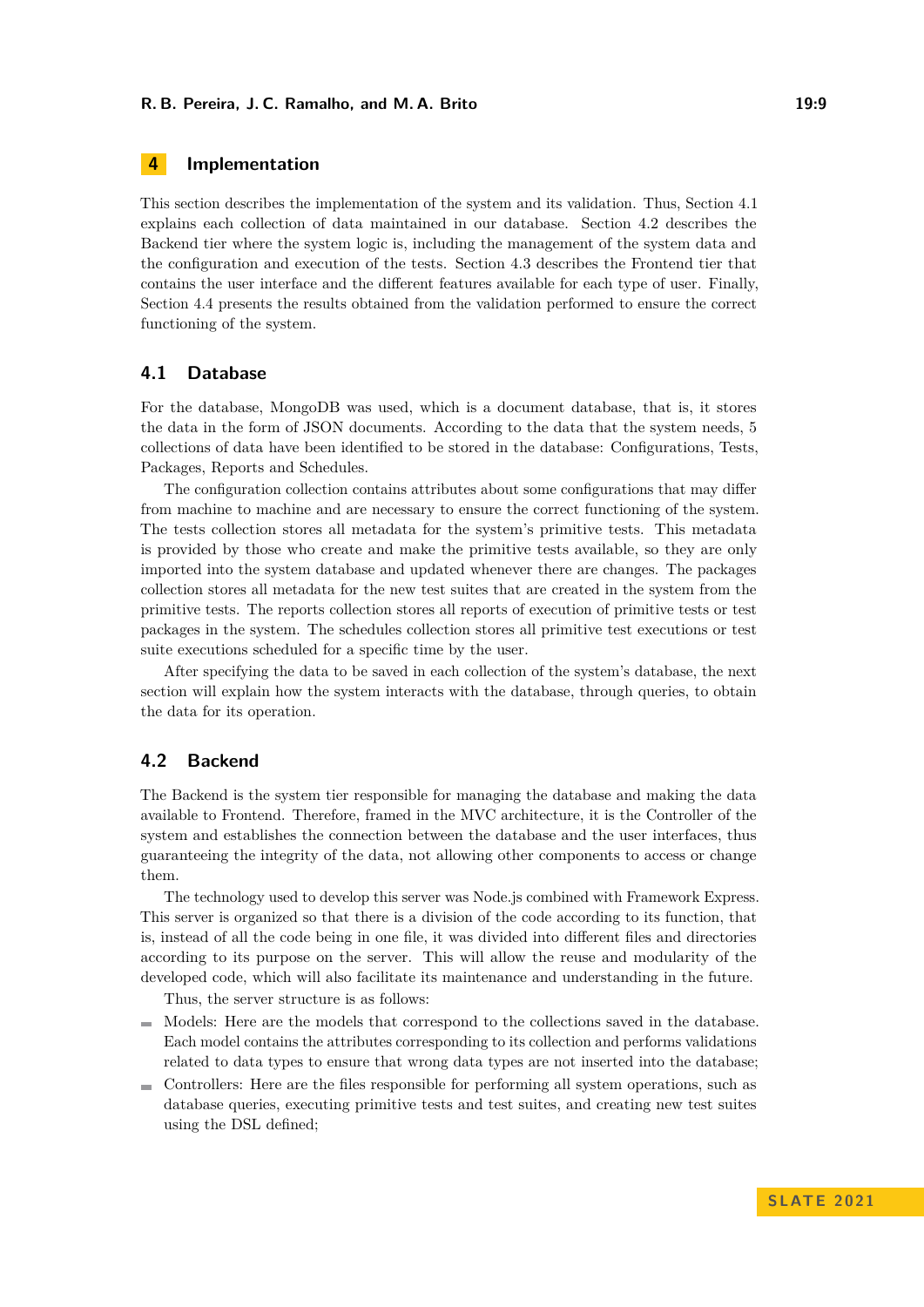#### **R. B. Pereira, J. C. Ramalho, and M. A. Brito 19:9** 19:9

# <span id="page-8-0"></span>**4 Implementation**

This section describes the implementation of the system and its validation. Thus, Section [4.1](#page-8-1) explains each collection of data maintained in our database. Section [4.2](#page-8-2) describes the Backend tier where the system logic is, including the management of the system data and the configuration and execution of the tests. Section [4.3](#page-11-0) describes the Frontend tier that contains the user interface and the different features available for each type of user. Finally, Section [4.4](#page-13-0) presents the results obtained from the validation performed to ensure the correct functioning of the system.

### <span id="page-8-1"></span>**4.1 Database**

For the database, MongoDB was used, which is a document database, that is, it stores the data in the form of JSON documents. According to the data that the system needs, 5 collections of data have been identified to be stored in the database: Configurations, Tests, Packages, Reports and Schedules.

The configuration collection contains attributes about some configurations that may differ from machine to machine and are necessary to ensure the correct functioning of the system. The tests collection stores all metadata for the system's primitive tests. This metadata is provided by those who create and make the primitive tests available, so they are only imported into the system database and updated whenever there are changes. The packages collection stores all metadata for the new test suites that are created in the system from the primitive tests. The reports collection stores all reports of execution of primitive tests or test packages in the system. The schedules collection stores all primitive test executions or test suite executions scheduled for a specific time by the user.

After specifying the data to be saved in each collection of the system's database, the next section will explain how the system interacts with the database, through queries, to obtain the data for its operation.

# <span id="page-8-2"></span>**4.2 Backend**

The Backend is the system tier responsible for managing the database and making the data available to Frontend. Therefore, framed in the MVC architecture, it is the Controller of the system and establishes the connection between the database and the user interfaces, thus guaranteeing the integrity of the data, not allowing other components to access or change them.

The technology used to develop this server was Node.js combined with Framework Express. This server is organized so that there is a division of the code according to its function, that is, instead of all the code being in one file, it was divided into different files and directories according to its purpose on the server. This will allow the reuse and modularity of the developed code, which will also facilitate its maintenance and understanding in the future.

Thus, the server structure is as follows:

- Models: Here are the models that correspond to the collections saved in the database. Each model contains the attributes corresponding to its collection and performs validations related to data types to ensure that wrong data types are not inserted into the database;
- Controllers: Here are the files responsible for performing all system operations, such as database queries, executing primitive tests and test suites, and creating new test suites using the DSL defined;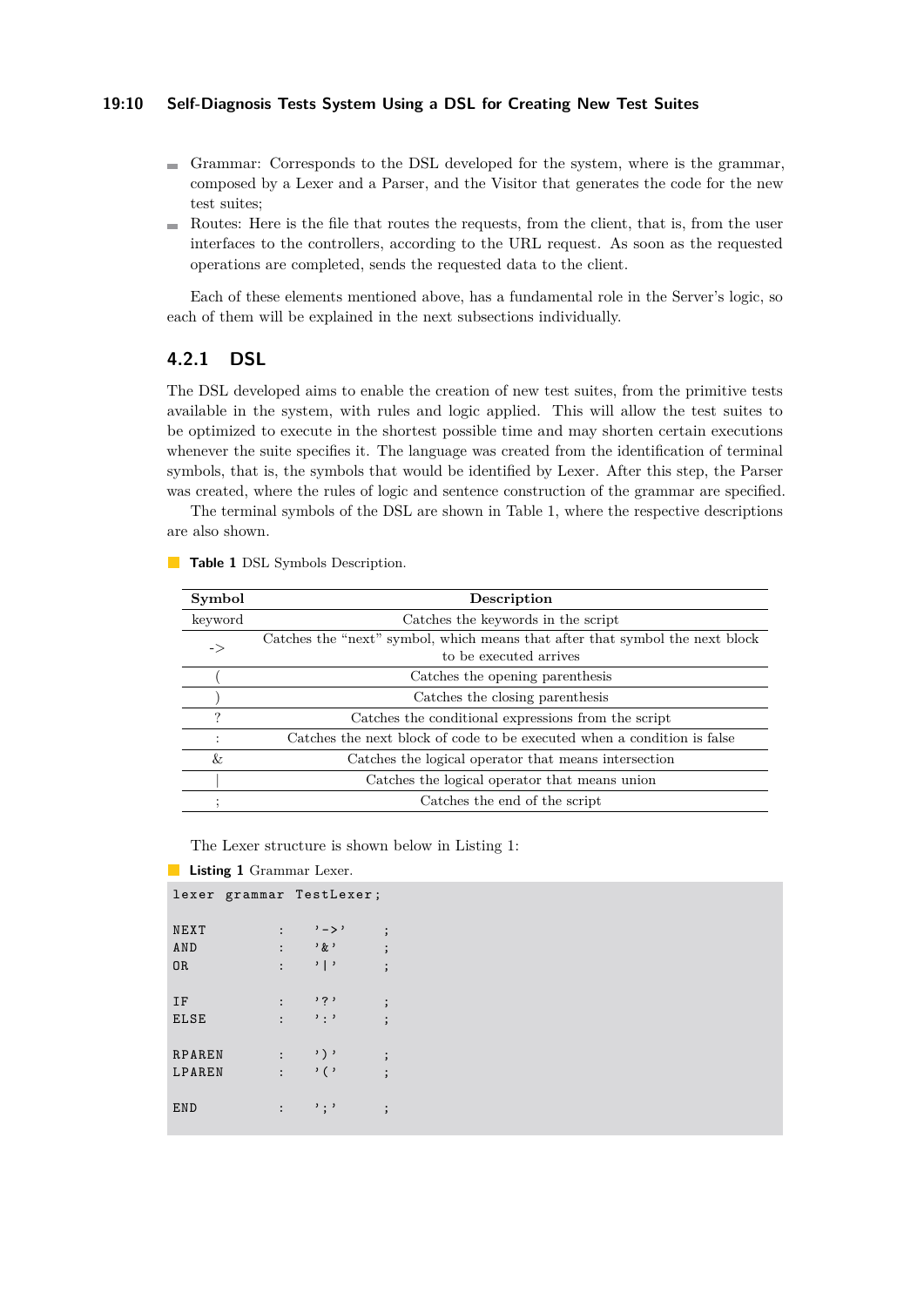#### **19:10 Self-Diagnosis Tests System Using a DSL for Creating New Test Suites**

- Grammar: Corresponds to the DSL developed for the system, where is the grammar, composed by a Lexer and a Parser, and the Visitor that generates the code for the new test suites;
- $\blacksquare$  Routes: Here is the file that routes the requests, from the client, that is, from the user interfaces to the controllers, according to the URL request. As soon as the requested operations are completed, sends the requested data to the client.

Each of these elements mentioned above, has a fundamental role in the Server's logic, so each of them will be explained in the next subsections individually.

# **4.2.1 DSL**

The DSL developed aims to enable the creation of new test suites, from the primitive tests available in the system, with rules and logic applied. This will allow the test suites to be optimized to execute in the shortest possible time and may shorten certain executions whenever the suite specifies it. The language was created from the identification of terminal symbols, that is, the symbols that would be identified by Lexer. After this step, the Parser was created, where the rules of logic and sentence construction of the grammar are specified.

The terminal symbols of the DSL are shown in Table [1,](#page-9-0) where the respective descriptions are also shown.

| Symbol         | Description                                                                  |  |  |  |  |  |
|----------------|------------------------------------------------------------------------------|--|--|--|--|--|
| keyword        | Catches the keywords in the script                                           |  |  |  |  |  |
| ->             | Catches the "next" symbol, which means that after that symbol the next block |  |  |  |  |  |
|                | to be executed arrives                                                       |  |  |  |  |  |
|                | Catches the opening parenthesis                                              |  |  |  |  |  |
|                | Catches the closing parenthesis                                              |  |  |  |  |  |
| ?              | Catches the conditional expressions from the script                          |  |  |  |  |  |
| $\ddot{\cdot}$ | Catches the next block of code to be executed when a condition is false      |  |  |  |  |  |
| &              | Catches the logical operator that means intersection                         |  |  |  |  |  |
|                | Catches the logical operator that means union                                |  |  |  |  |  |
|                | Catches the end of the script                                                |  |  |  |  |  |

<span id="page-9-0"></span>**Table 1** DSL Symbols Description.

The Lexer structure is shown below in Listing [1:](#page-9-1)

#### <span id="page-9-1"></span>**Listing 1** Grammar Lexer.

|               |                      | lexer grammar TestLexer;      |          |
|---------------|----------------------|-------------------------------|----------|
| NEXT          | $\ddot{\cdot}$       | $,  >$ ,                      | $\vdots$ |
| AND           | $\mathbf{\cdot}$     | $, k$ ,                       | $\vdots$ |
| 0R            | $\ddot{\cdot}$       | $\cdot$   $\cdot$             | $\vdots$ |
|               |                      |                               |          |
| IF            | $\ddot{\cdot}$       | י ? י                         | $\vdots$ |
| <b>ELSE</b>   | $\ddot{\phantom{a}}$ | $\cdot$ : $\cdot$             | $\vdots$ |
|               |                      |                               |          |
| <b>RPAREN</b> | $\mathbf{\cdot}$     | $\rightarrow$ ) $\rightarrow$ | $\vdots$ |
| LPAREN        | $\mathbf{.}$         | $\cdot$ ( $\cdot$             | $\vdots$ |
|               |                      |                               |          |
| END           | :                    | $^{\prime}$ ; $^{\prime}$     | $\vdots$ |
|               |                      |                               |          |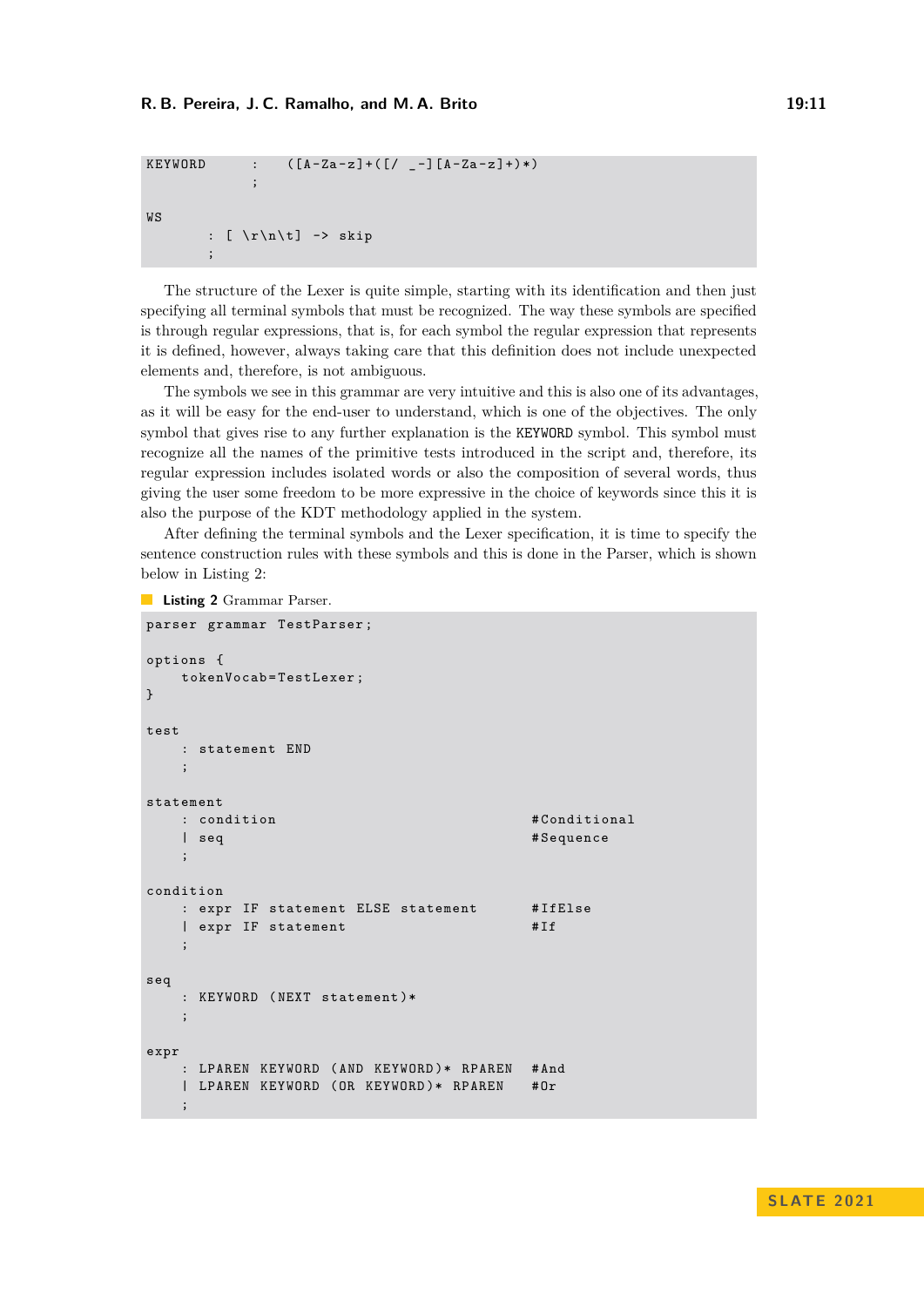```
KEYWORD : ([A-Za-z]+([7 - a] - a - a)] + \cdots);
WS
        : [ \ r \ n \ t ] -> skip
        ;
```
The structure of the Lexer is quite simple, starting with its identification and then just specifying all terminal symbols that must be recognized. The way these symbols are specified is through regular expressions, that is, for each symbol the regular expression that represents it is defined, however, always taking care that this definition does not include unexpected elements and, therefore, is not ambiguous.

The symbols we see in this grammar are very intuitive and this is also one of its advantages, as it will be easy for the end-user to understand, which is one of the objectives. The only symbol that gives rise to any further explanation is the KEYWORD symbol. This symbol must recognize all the names of the primitive tests introduced in the script and, therefore, its regular expression includes isolated words or also the composition of several words, thus giving the user some freedom to be more expressive in the choice of keywords since this it is also the purpose of the KDT methodology applied in the system.

After defining the terminal symbols and the Lexer specification, it is time to specify the sentence construction rules with these symbols and this is done in the Parser, which is shown below in Listing [2:](#page-10-0)

```
Listing 2 Grammar Parser.
```

```
parser grammar TestParser ;
options {
   tokenVocab=TestLexer;
}
test
   : statement END
   ;
statement
   : condition \#Conditional
   | seq # Sequence
   ;
condition
   : expr IF statement ELSE statement # IfElse
   | expr IF statement # If
   ;
seq
   : KEYWORD (NEXT statement)*
   ;
expr
   : LPAREN KEYWORD ( AND KEYWORD )* RPAREN # And
   | LPAREN KEYWORD ( OR KEYWORD )* RPAREN # Or
   ;
```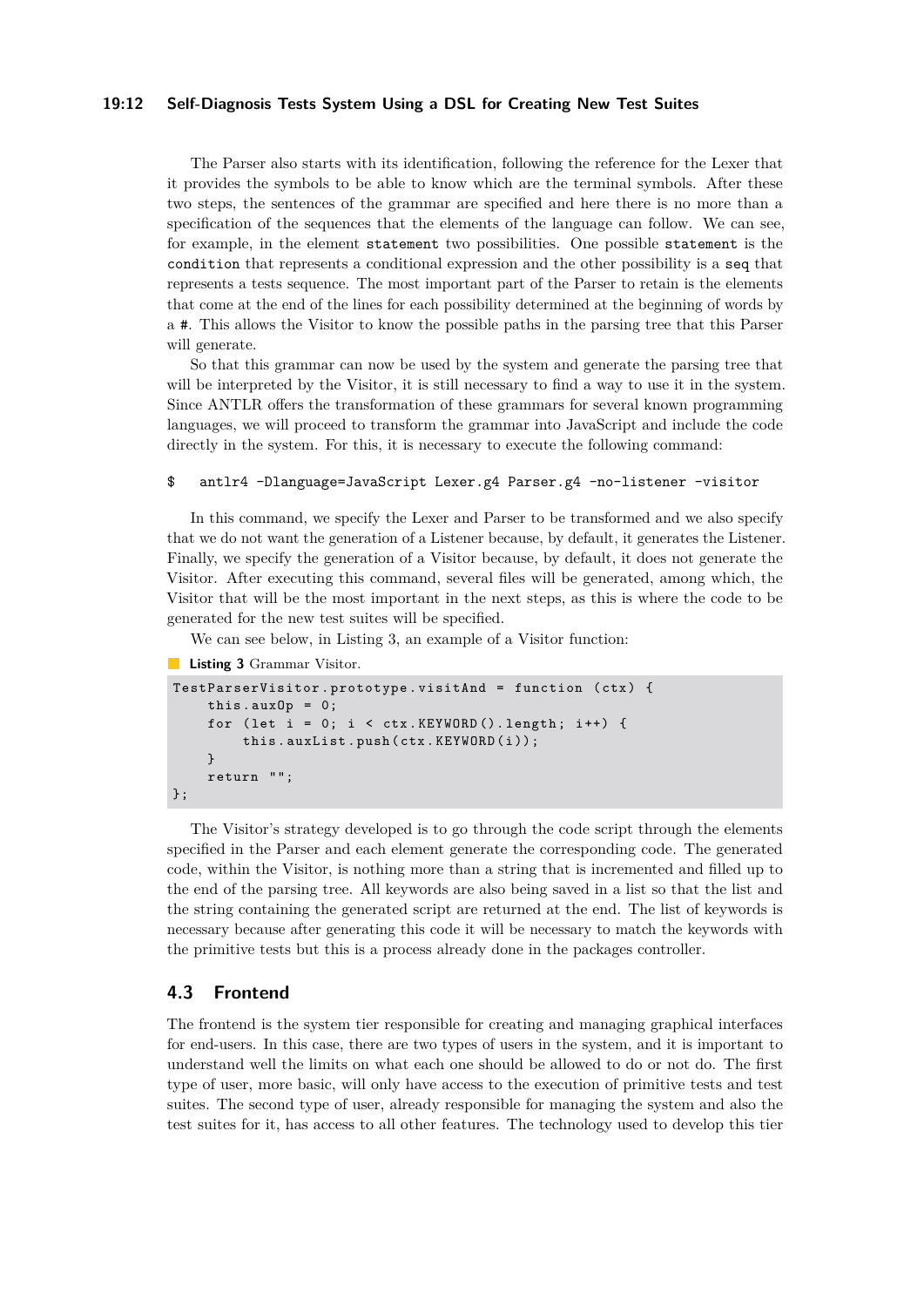#### **19:12 Self-Diagnosis Tests System Using a DSL for Creating New Test Suites**

The Parser also starts with its identification, following the reference for the Lexer that it provides the symbols to be able to know which are the terminal symbols. After these two steps, the sentences of the grammar are specified and here there is no more than a specification of the sequences that the elements of the language can follow. We can see, for example, in the element statement two possibilities. One possible statement is the condition that represents a conditional expression and the other possibility is a seq that represents a tests sequence. The most important part of the Parser to retain is the elements that come at the end of the lines for each possibility determined at the beginning of words by a #. This allows the Visitor to know the possible paths in the parsing tree that this Parser will generate.

So that this grammar can now be used by the system and generate the parsing tree that will be interpreted by the Visitor, it is still necessary to find a way to use it in the system. Since ANTLR offers the transformation of these grammars for several known programming languages, we will proceed to transform the grammar into JavaScript and include the code directly in the system. For this, it is necessary to execute the following command:

#### \$ antlr4 -Dlanguage=JavaScript Lexer.g4 Parser.g4 -no-listener -visitor

In this command, we specify the Lexer and Parser to be transformed and we also specify that we do not want the generation of a Listener because, by default, it generates the Listener. Finally, we specify the generation of a Visitor because, by default, it does not generate the Visitor. After executing this command, several files will be generated, among which, the Visitor that will be the most important in the next steps, as this is where the code to be generated for the new test suites will be specified.

We can see below, in Listing [3,](#page-11-1) an example of a Visitor function:

<span id="page-11-1"></span>**Listing 3** Grammar Visitor.

```
TestParserVisitor . prototype . visitAnd = function ( ctx ) {
    this. auxOp = 0;
    for (let i = 0; i < ctx.KEYWORD(). length; i++) {
        this.auxList.push(ctx.KEYWORD(i));
    }
    return "";
};
```
The Visitor's strategy developed is to go through the code script through the elements specified in the Parser and each element generate the corresponding code. The generated code, within the Visitor, is nothing more than a string that is incremented and filled up to the end of the parsing tree. All keywords are also being saved in a list so that the list and the string containing the generated script are returned at the end. The list of keywords is necessary because after generating this code it will be necessary to match the keywords with the primitive tests but this is a process already done in the packages controller.

### <span id="page-11-0"></span>**4.3 Frontend**

The frontend is the system tier responsible for creating and managing graphical interfaces for end-users. In this case, there are two types of users in the system, and it is important to understand well the limits on what each one should be allowed to do or not do. The first type of user, more basic, will only have access to the execution of primitive tests and test suites. The second type of user, already responsible for managing the system and also the test suites for it, has access to all other features. The technology used to develop this tier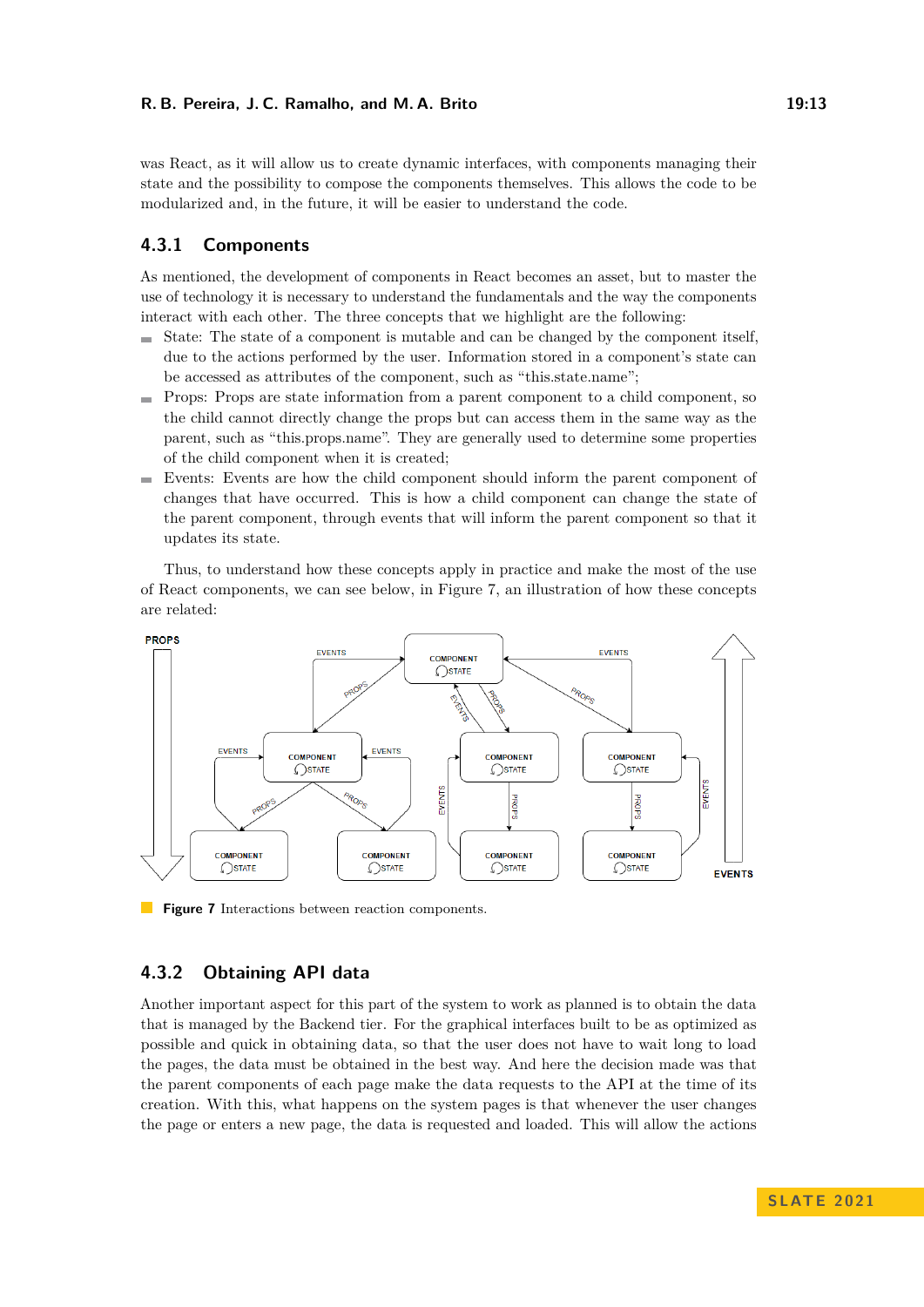#### **R. B. Pereira, J. C. Ramalho, and M. A. Brito 19:13**

was React, as it will allow us to create dynamic interfaces, with components managing their state and the possibility to compose the components themselves. This allows the code to be modularized and, in the future, it will be easier to understand the code.

# **4.3.1 Components**

As mentioned, the development of components in React becomes an asset, but to master the use of technology it is necessary to understand the fundamentals and the way the components interact with each other. The three concepts that we highlight are the following:

- $\blacksquare$  State: The state of a component is mutable and can be changed by the component itself, due to the actions performed by the user. Information stored in a component's state can be accessed as attributes of the component, such as "this.state.name";
- Props: Props are state information from a parent component to a child component, so the child cannot directly change the props but can access them in the same way as the parent, such as "this.props.name". They are generally used to determine some properties of the child component when it is created;
- Events: Events are how the child component should inform the parent component of changes that have occurred. This is how a child component can change the state of the parent component, through events that will inform the parent component so that it updates its state.

Thus, to understand how these concepts apply in practice and make the most of the use of React components, we can see below, in Figure [7,](#page-12-0) an illustration of how these concepts are related:

<span id="page-12-0"></span>

**Figure 7** Interactions between reaction components.

# **4.3.2 Obtaining API data**

Another important aspect for this part of the system to work as planned is to obtain the data that is managed by the Backend tier. For the graphical interfaces built to be as optimized as possible and quick in obtaining data, so that the user does not have to wait long to load the pages, the data must be obtained in the best way. And here the decision made was that the parent components of each page make the data requests to the API at the time of its creation. With this, what happens on the system pages is that whenever the user changes the page or enters a new page, the data is requested and loaded. This will allow the actions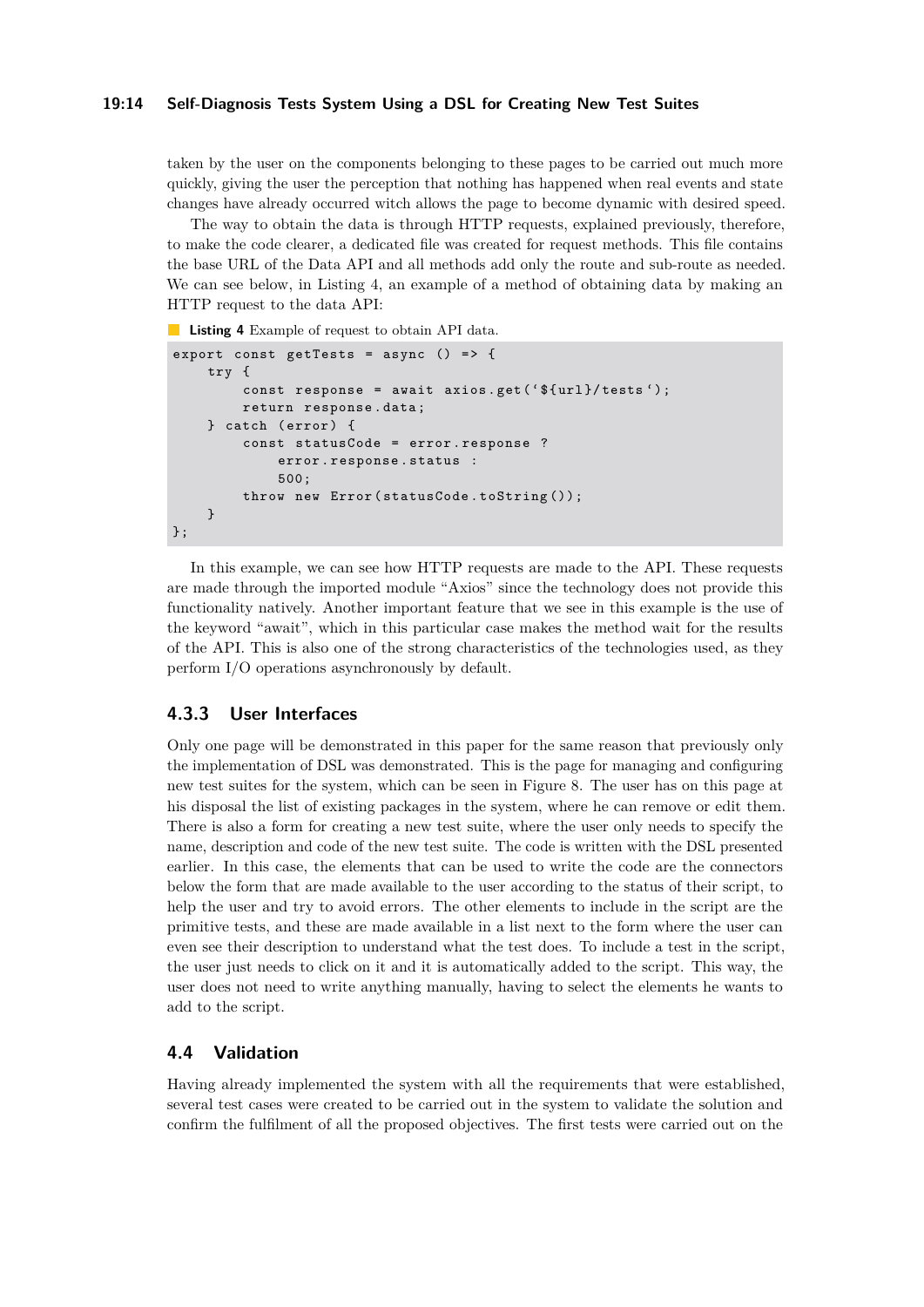#### **19:14 Self-Diagnosis Tests System Using a DSL for Creating New Test Suites**

taken by the user on the components belonging to these pages to be carried out much more quickly, giving the user the perception that nothing has happened when real events and state changes have already occurred witch allows the page to become dynamic with desired speed.

The way to obtain the data is through HTTP requests, explained previously, therefore, to make the code clearer, a dedicated file was created for request methods. This file contains the base URL of the Data API and all methods add only the route and sub-route as needed. We can see below, in Listing [4,](#page-13-1) an example of a method of obtaining data by making an HTTP request to the data API:

<span id="page-13-1"></span>**Listing 4** Example of request to obtain API data.

```
export const getTests = async () => {
    try {
        const response = await axios.get ('${url}/tests');
        return response . data ;
    } catch (error) {
         const statusCode = error . response ?
             error . response . status :
             500;
         throw new Error (statusCode.toString ());
    }
};
```
In this example, we can see how HTTP requests are made to the API. These requests are made through the imported module "Axios" since the technology does not provide this functionality natively. Another important feature that we see in this example is the use of the keyword "await", which in this particular case makes the method wait for the results of the API. This is also one of the strong characteristics of the technologies used, as they perform I/O operations asynchronously by default.

# **4.3.3 User Interfaces**

Only one page will be demonstrated in this paper for the same reason that previously only the implementation of DSL was demonstrated. This is the page for managing and configuring new test suites for the system, which can be seen in Figure [8.](#page-14-1) The user has on this page at his disposal the list of existing packages in the system, where he can remove or edit them. There is also a form for creating a new test suite, where the user only needs to specify the name, description and code of the new test suite. The code is written with the DSL presented earlier. In this case, the elements that can be used to write the code are the connectors below the form that are made available to the user according to the status of their script, to help the user and try to avoid errors. The other elements to include in the script are the primitive tests, and these are made available in a list next to the form where the user can even see their description to understand what the test does. To include a test in the script, the user just needs to click on it and it is automatically added to the script. This way, the user does not need to write anything manually, having to select the elements he wants to add to the script.

# <span id="page-13-0"></span>**4.4 Validation**

Having already implemented the system with all the requirements that were established, several test cases were created to be carried out in the system to validate the solution and confirm the fulfilment of all the proposed objectives. The first tests were carried out on the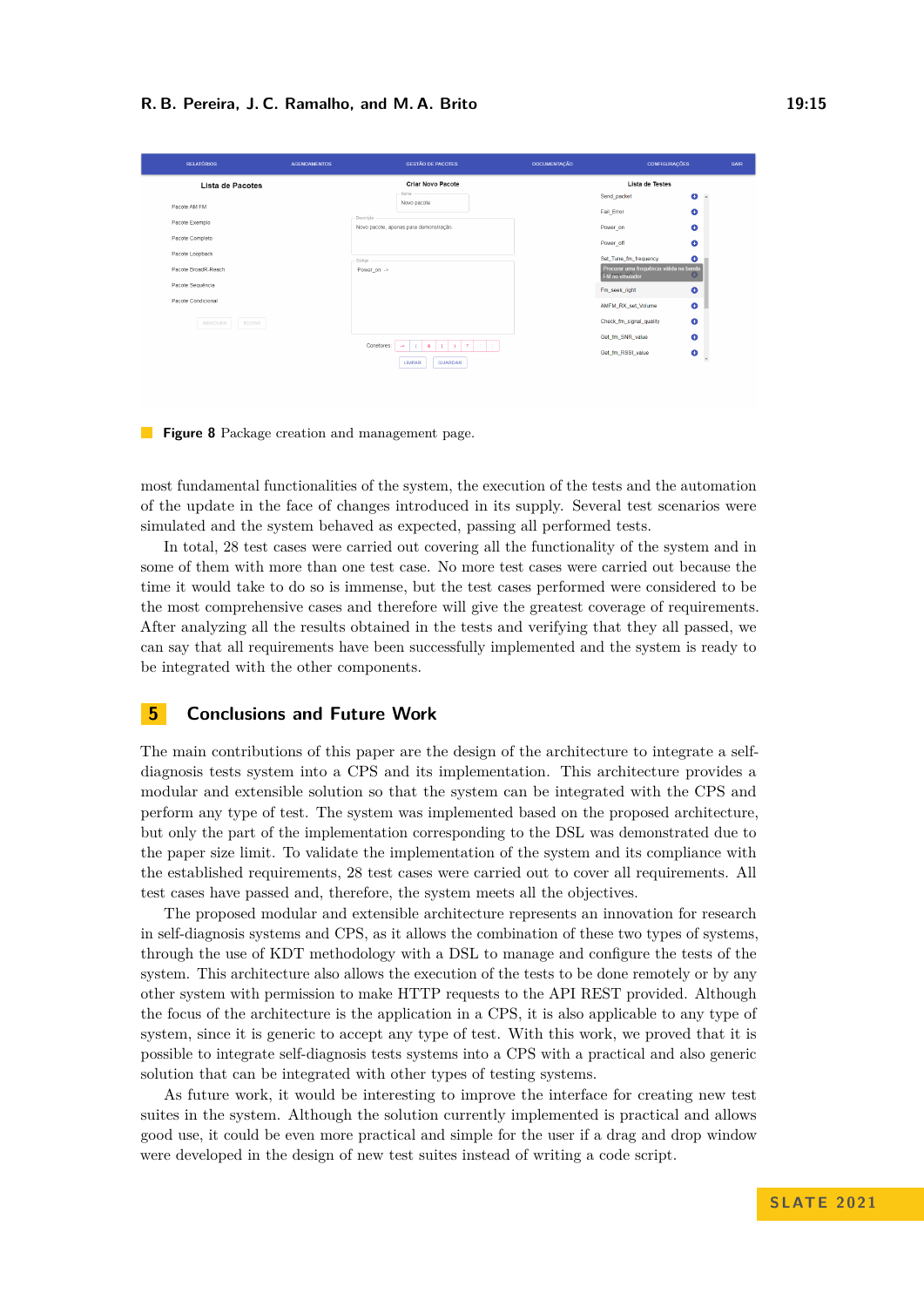#### **R. B. Pereira, J. C. Ramalho, and M. A. Brito 19:15** 19:15

<span id="page-14-1"></span>

| <b>RELATÓRIOS</b>                      | <b>AGENDAMENTOS</b> | <b>GESTÃO DE PACOTES</b>               | <b>DOCUMENTAÇÃO</b> | <b>CONFIGURAÇÕES</b>                                      |                   | SAIR |
|----------------------------------------|---------------------|----------------------------------------|---------------------|-----------------------------------------------------------|-------------------|------|
| Lista de Pacotes                       |                     | <b>Criar Novo Pacote</b>               | Lista de Testes     |                                                           |                   |      |
|                                        |                     | Nome<br>Novo pacote                    |                     | Send packet                                               | Θ<br>$\mathbf{A}$ |      |
| Pacote AM FM                           | Descrição           |                                        |                     | <b>Fail Error</b>                                         | ٥                 |      |
| Pacote Exemplo                         |                     | Novo pacote, apenas para demonstração. |                     | Power_on                                                  | Θ                 |      |
| Pacote Completo                        |                     |                                        |                     | Power_off                                                 | Θ                 |      |
| Pacote Loopback                        | - Código            |                                        |                     | Set_Tune_fm_frequency                                     | Θ                 |      |
| Pacote BroadR-Reach                    |                     | Power_on ->                            |                     | Procurar uma frequência válida na banda<br>FM no emulador |                   |      |
| Pacote Sequência<br>Pacote Condicional |                     |                                        |                     | Fm seek right                                             | $\bullet$         |      |
|                                        |                     |                                        |                     | AMFM RX set Volume                                        | ٠                 |      |
| REMOVER<br>EDITAR                      |                     |                                        |                     | Check_fm_signal_quality                                   | ٠                 |      |
|                                        |                     | $\gamma$<br>$\Delta$                   |                     | Get fm SNR value                                          | $\bullet$         |      |
|                                        |                     | Conetores:<br>$\alpha$<br><b>Sec.</b>  |                     | Get fm RSSI value                                         | ●                 |      |
|                                        |                     | <b>GUARDAR</b><br>LIMPAR               |                     |                                                           | $\mathbf{v}$      |      |

**Figure 8** Package creation and management page.

most fundamental functionalities of the system, the execution of the tests and the automation of the update in the face of changes introduced in its supply. Several test scenarios were simulated and the system behaved as expected, passing all performed tests.

In total, 28 test cases were carried out covering all the functionality of the system and in some of them with more than one test case. No more test cases were carried out because the time it would take to do so is immense, but the test cases performed were considered to be the most comprehensive cases and therefore will give the greatest coverage of requirements. After analyzing all the results obtained in the tests and verifying that they all passed, we can say that all requirements have been successfully implemented and the system is ready to be integrated with the other components.

### <span id="page-14-0"></span>**5 Conclusions and Future Work**

The main contributions of this paper are the design of the architecture to integrate a selfdiagnosis tests system into a CPS and its implementation. This architecture provides a modular and extensible solution so that the system can be integrated with the CPS and perform any type of test. The system was implemented based on the proposed architecture, but only the part of the implementation corresponding to the DSL was demonstrated due to the paper size limit. To validate the implementation of the system and its compliance with the established requirements, 28 test cases were carried out to cover all requirements. All test cases have passed and, therefore, the system meets all the objectives.

The proposed modular and extensible architecture represents an innovation for research in self-diagnosis systems and CPS, as it allows the combination of these two types of systems, through the use of KDT methodology with a DSL to manage and configure the tests of the system. This architecture also allows the execution of the tests to be done remotely or by any other system with permission to make HTTP requests to the API REST provided. Although the focus of the architecture is the application in a CPS, it is also applicable to any type of system, since it is generic to accept any type of test. With this work, we proved that it is possible to integrate self-diagnosis tests systems into a CPS with a practical and also generic solution that can be integrated with other types of testing systems.

As future work, it would be interesting to improve the interface for creating new test suites in the system. Although the solution currently implemented is practical and allows good use, it could be even more practical and simple for the user if a drag and drop window were developed in the design of new test suites instead of writing a code script.